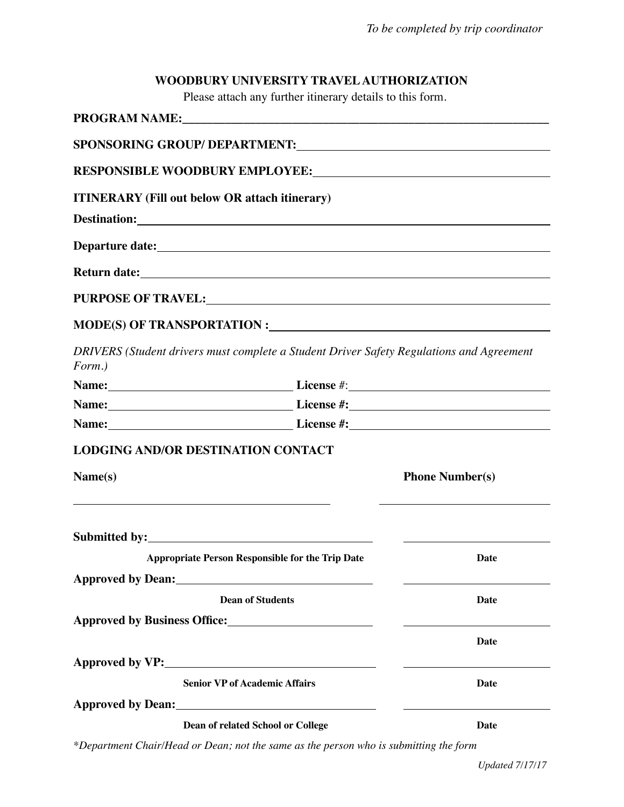## **WOODBURY UNIVERSITY TRAVEL AUTHORIZATION**

Please attach any further itinerary details to this form.

| <b>ITINERARY</b> (Fill out below OR attach itinerary)                                                                            |                        |  |  |
|----------------------------------------------------------------------------------------------------------------------------------|------------------------|--|--|
|                                                                                                                                  |                        |  |  |
|                                                                                                                                  |                        |  |  |
|                                                                                                                                  |                        |  |  |
|                                                                                                                                  |                        |  |  |
|                                                                                                                                  |                        |  |  |
| DRIVERS (Student drivers must complete a Student Driver Safety Regulations and Agreement<br>Form.)                               |                        |  |  |
|                                                                                                                                  |                        |  |  |
|                                                                                                                                  |                        |  |  |
|                                                                                                                                  |                        |  |  |
| <b>LODGING AND/OR DESTINATION CONTACT</b>                                                                                        |                        |  |  |
| Name(s)<br><u> 1989 - Johann Harry Harry Harry Harry Harry Harry Harry Harry Harry Harry Harry Harry Harry Harry Harry Harry</u> | <b>Phone Number(s)</b> |  |  |
|                                                                                                                                  |                        |  |  |
| <b>Appropriate Person Responsible for the Trip Date</b>                                                                          | Date                   |  |  |
| Approved by Dean: 1988 and 1988 and 1988 and 1988 and 1988 and 1988 and 1988 and 1988 and 1988 and 1988 and 19                   |                        |  |  |
| <b>Dean of Students</b>                                                                                                          | Date                   |  |  |
|                                                                                                                                  |                        |  |  |
|                                                                                                                                  | Date                   |  |  |
|                                                                                                                                  |                        |  |  |
| <b>Senior VP of Academic Affairs</b>                                                                                             | Date                   |  |  |
|                                                                                                                                  |                        |  |  |
| Dean of related School or College                                                                                                | Date                   |  |  |

*\*Department Chair/Head or Dean; not the same as the person who is submitting the form*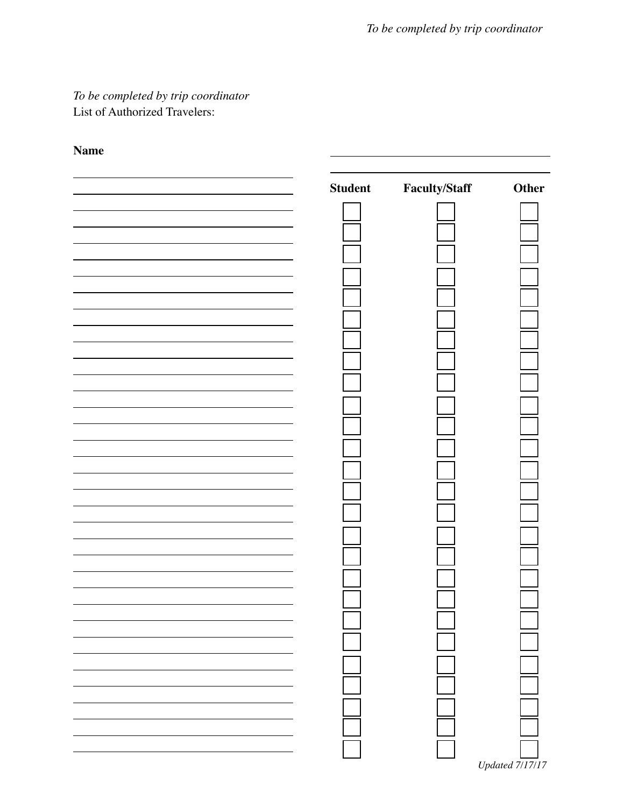*To be completed by trip coordinator* List of Authorized Travelers:

## **Name**

| <b>Student</b> | <b>Faculty/Staff</b> | Other           |
|----------------|----------------------|-----------------|
|                |                      |                 |
|                |                      |                 |
|                |                      |                 |
|                |                      |                 |
|                |                      |                 |
|                |                      |                 |
|                |                      |                 |
|                |                      |                 |
|                |                      |                 |
|                |                      |                 |
|                |                      |                 |
|                |                      |                 |
|                |                      |                 |
|                |                      |                 |
|                |                      |                 |
|                |                      |                 |
|                |                      |                 |
|                |                      |                 |
|                |                      |                 |
|                |                      |                 |
|                |                      |                 |
|                |                      |                 |
|                |                      |                 |
|                |                      |                 |
|                |                      |                 |
|                |                      |                 |
|                |                      |                 |
|                |                      | Updated 7/17/17 |